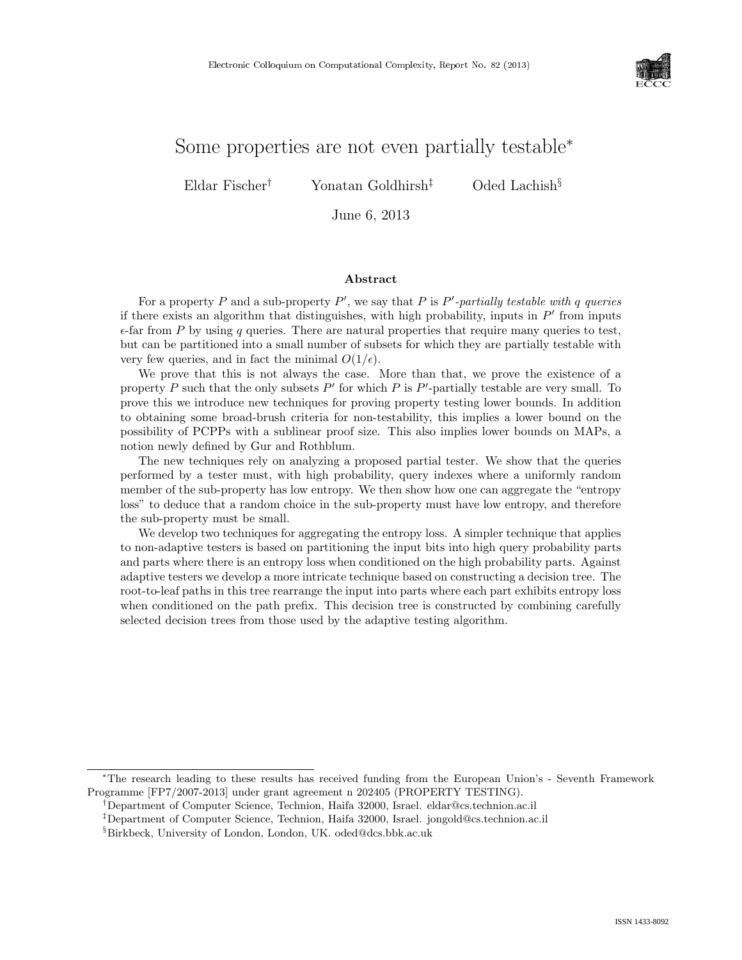

# Some properties are not even partially testable<sup>∗</sup>

Eldar Fischer† Yonatan Goldhirsh‡ Oded Lachish§

June 6, 2013

#### Abstract

For a property P and a sub-property P', we say that P is P'-partially testable with q queries if there exists an algorithm that distinguishes, with high probability, inputs in  $P'$  from inputs  $\epsilon$ -far from P by using q queries. There are natural properties that require many queries to test, but can be partitioned into a small number of subsets for which they are partially testable with very few queries, and in fact the minimal  $O(1/\epsilon)$ .

We prove that this is not always the case. More than that, we prove the existence of a property P such that the only subsets  $P'$  for which P is  $P'$ -partially testable are very small. To prove this we introduce new techniques for proving property testing lower bounds. In addition to obtaining some broad-brush criteria for non-testability, this implies a lower bound on the possibility of PCPPs with a sublinear proof size. This also implies lower bounds on MAPs, a notion newly defined by Gur and Rothblum.

The new techniques rely on analyzing a proposed partial tester. We show that the queries performed by a tester must, with high probability, query indexes where a uniformly random member of the sub-property has low entropy. We then show how one can aggregate the "entropy loss" to deduce that a random choice in the sub-property must have low entropy, and therefore the sub-property must be small.

We develop two techniques for aggregating the entropy loss. A simpler technique that applies to non-adaptive testers is based on partitioning the input bits into high query probability parts and parts where there is an entropy loss when conditioned on the high probability parts. Against adaptive testers we develop a more intricate technique based on constructing a decision tree. The root-to-leaf paths in this tree rearrange the input into parts where each part exhibits entropy loss when conditioned on the path prefix. This decision tree is constructed by combining carefully selected decision trees from those used by the adaptive testing algorithm.

<sup>∗</sup>The research leading to these results has received funding from the European Union's - Seventh Framework Programme [FP7/2007-2013] under grant agreement n 202405 (PROPERTY TESTING).

<sup>†</sup>Department of Computer Science, Technion, Haifa 32000, Israel. eldar@cs.technion.ac.il

<sup>‡</sup>Department of Computer Science, Technion, Haifa 32000, Israel. jongold@cs.technion.ac.il

<sup>§</sup>Birkbeck, University of London, London, UK. oded@dcs.bbk.ac.uk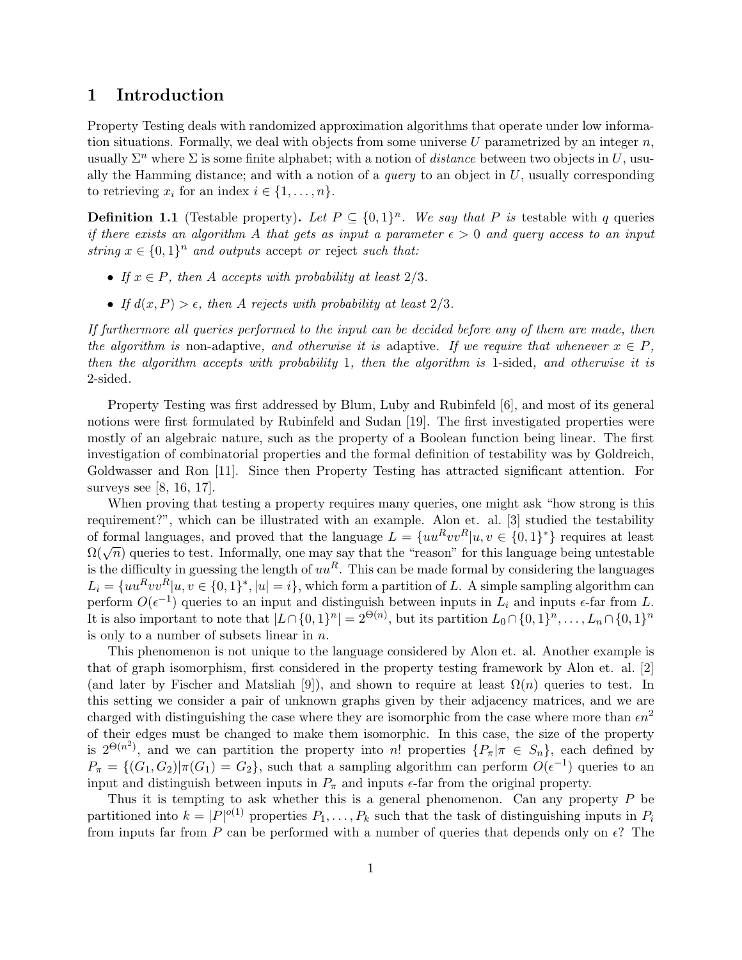## 1 Introduction

Property Testing deals with randomized approximation algorithms that operate under low information situations. Formally, we deal with objects from some universe U parametrized by an integer  $n$ , usually  $\Sigma^n$  where  $\Sigma$  is some finite alphabet; with a notion of *distance* between two objects in U, usually the Hamming distance; and with a notion of a *query* to an object in  $U$ , usually corresponding to retrieving  $x_i$  for an index  $i \in \{1, \ldots, n\}.$ 

**Definition 1.1** (Testable property). Let  $P \subseteq \{0,1\}^n$ . We say that P is testable with q queries if there exists an algorithm A that gets as input a parameter  $\epsilon > 0$  and query access to an input string  $x \in \{0,1\}^n$  and outputs accept or reject such that:

- If  $x \in P$ , then A accepts with probability at least  $2/3$ .
- If  $d(x, P) > \epsilon$ , then A rejects with probability at least  $2/3$ .

If furthermore all queries performed to the input can be decided before any of them are made, then the algorithm is non-adaptive, and otherwise it is adaptive. If we require that whenever  $x \in P$ , then the algorithm accepts with probability 1, then the algorithm is 1-sided, and otherwise it is 2-sided.

Property Testing was first addressed by Blum, Luby and Rubinfeld [6], and most of its general notions were first formulated by Rubinfeld and Sudan [19]. The first investigated properties were mostly of an algebraic nature, such as the property of a Boolean function being linear. The first investigation of combinatorial properties and the formal definition of testability was by Goldreich, Goldwasser and Ron [11]. Since then Property Testing has attracted significant attention. For surveys see [8, 16, 17].

When proving that testing a property requires many queries, one might ask "how strong is this requirement?", which can be illustrated with an example. Alon et. al. [3] studied the testability of formal languages, and proved that the language  $L = \{uu^Rvv^R|u, v \in \{0,1\}^*\}\$  requires at least Of formal languages, and proved that the language  $E = \{ua, v \in [a, v \in [0, 1]\}$  requires at least  $\Omega(\sqrt{n})$  queries to test. Informally, one may say that the "reason" for this language being untestable is the difficulty in guessing the length of  $uu^R$ . This can be made formal by considering the languages  $L_i = \{uu^Rvv^R|u, v \in \{0,1\}^*, |u|=i\}$ , which form a partition of L. A simple sampling algorithm can perform  $O(\epsilon^{-1})$  queries to an input and distinguish between inputs in  $L_i$  and inputs  $\epsilon$ -far from L. It is also important to note that  $|L \cap \{0,1\}^n| = 2^{\Theta(n)}$ , but its partition  $L_0 \cap \{0,1\}^n, \ldots, L_n \cap \{0,1\}^n$ is only to a number of subsets linear in  $n$ .

This phenomenon is not unique to the language considered by Alon et. al. Another example is that of graph isomorphism, first considered in the property testing framework by Alon et. al. [2] (and later by Fischer and Matsliah [9]), and shown to require at least  $\Omega(n)$  queries to test. In this setting we consider a pair of unknown graphs given by their adjacency matrices, and we are charged with distinguishing the case where they are isomorphic from the case where more than  $\epsilon n^2$ of their edges must be changed to make them isomorphic. In this case, the size of the property is  $2^{\Theta(n^2)}$ , and we can partition the property into n! properties  $\{P_\pi | \pi \in S_n\}$ , each defined by  $P_{\pi} = \{ (G_1, G_2) | \pi(G_1) = G_2 \}$ , such that a sampling algorithm can perform  $O(\epsilon^{-1})$  queries to an input and distinguish between inputs in  $P_{\pi}$  and inputs  $\epsilon$ -far from the original property.

Thus it is tempting to ask whether this is a general phenomenon. Can any property  $P$  be partitioned into  $k = |P|^{o(1)}$  properties  $P_1, \ldots, P_k$  such that the task of distinguishing inputs in  $P_i$ from inputs far from P can be performed with a number of queries that depends only on  $\epsilon$ ? The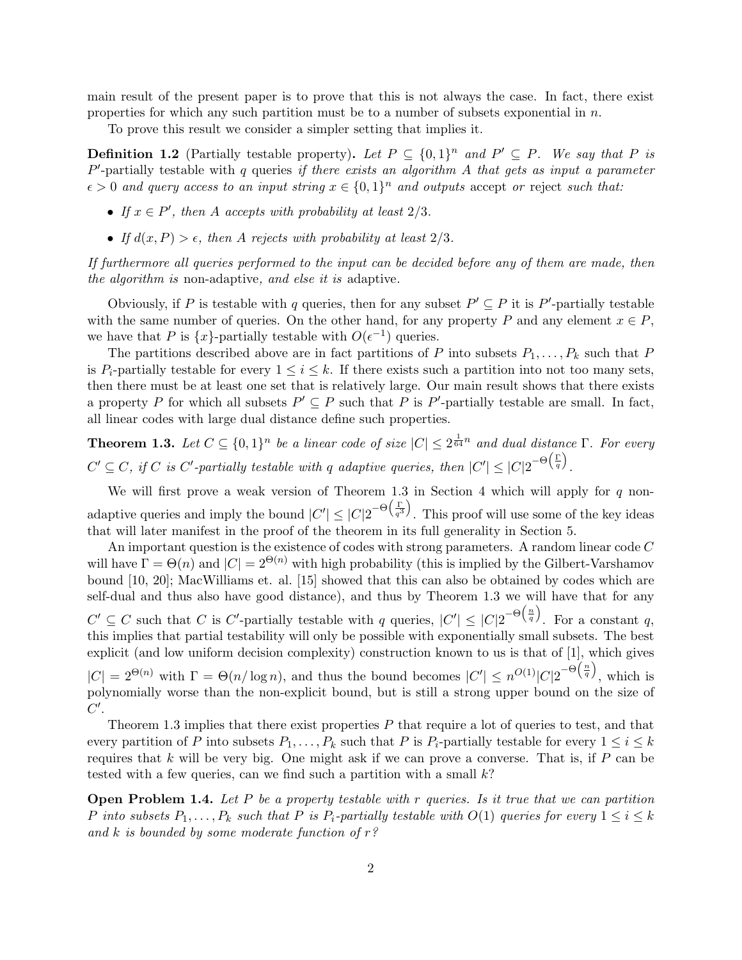main result of the present paper is to prove that this is not always the case. In fact, there exist properties for which any such partition must be to a number of subsets exponential in  $n$ .

To prove this result we consider a simpler setting that implies it.

**Definition 1.2** (Partially testable property). Let  $P \subseteq \{0,1\}^n$  and  $P' \subseteq P$ . We say that P is  $P'$ -partially testable with  $q$  queries if there exists an algorithm  $A$  that gets as input a parameter  $\epsilon > 0$  and query access to an input string  $x \in \{0,1\}^n$  and outputs accept or reject such that:

- If  $x \in P'$ , then A accepts with probability at least  $2/3$ .
- If  $d(x, P) > \epsilon$ , then A rejects with probability at least  $2/3$ .

If furthermore all queries performed to the input can be decided before any of them are made, then the algorithm is non-adaptive, and else it is adaptive.

Obviously, if P is testable with q queries, then for any subset  $P' \subseteq P$  it is P'-partially testable with the same number of queries. On the other hand, for any property P and any element  $x \in P$ , we have that P is  $\{x\}$ -partially testable with  $O(\epsilon^{-1})$  queries.

The partitions described above are in fact partitions of P into subsets  $P_1, \ldots, P_k$  such that P is  $P_i$ -partially testable for every  $1 \leq i \leq k$ . If there exists such a partition into not too many sets, then there must be at least one set that is relatively large. Our main result shows that there exists a property P for which all subsets  $P' \subseteq P$  such that P is P'-partially testable are small. In fact, all linear codes with large dual distance define such properties.

**Theorem 1.3.** Let  $C \subseteq \{0,1\}^n$  be a linear code of size  $|C| \leq 2^{\frac{1}{64}n}$  and dual distance  $\Gamma$ . For every  $C' \subseteq C$ , if C is C'-partially testable with q adaptive queries, then  $|C'| \leq |C|2^{-\Theta(\frac{\Gamma}{q})}$ .

We will first prove a weak version of Theorem 1.3 in Section 4 which will apply for  $q$  nonadaptive queries and imply the bound  $|C'| \leq |C| 2^{-\Theta(\frac{\Gamma}{q^3})}$ . This proof will use some of the key ideas that will later manifest in the proof of the theorem in its full generality in Section 5.

An important question is the existence of codes with strong parameters. A random linear code C will have  $\Gamma = \Theta(n)$  and  $|C| = 2^{\Theta(n)}$  with high probability (this is implied by the Gilbert-Varshamov bound [10, 20]; MacWilliams et. al. [15] showed that this can also be obtained by codes which are self-dual and thus also have good distance), and thus by Theorem 1.3 we will have that for any  $C' \subseteq C$  such that C is C'-partially testable with q queries,  $|C'| \leq |C| 2^{-\Theta(\frac{n}{q})}$ . For a constant q, this implies that partial testability will only be possible with exponentially small subsets. The best explicit (and low uniform decision complexity) construction known to us is that of [1], which gives  $|C| = 2^{\Theta(n)}$  with  $\Gamma = \Theta(n/\log n)$ , and thus the bound becomes  $|C'| \leq n^{O(1)}|C|2^{-\Theta(\frac{n}{q})}$ , which is polynomially worse than the non-explicit bound, but is still a strong upper bound on the size of  $C'.$ 

Theorem 1.3 implies that there exist properties P that require a lot of queries to test, and that every partition of P into subsets  $P_1, \ldots, P_k$  such that P is  $P_i$ -partially testable for every  $1 \leq i \leq k$ requires that  $k$  will be very big. One might ask if we can prove a converse. That is, if  $P$  can be tested with a few queries, can we find such a partition with a small k?

**Open Problem 1.4.** Let P be a property testable with r queries. Is it true that we can partition P into subsets  $P_1, \ldots, P_k$  such that P is  $P_i$ -partially testable with  $O(1)$  queries for every  $1 \leq i \leq k$ and  $k$  is bounded by some moderate function of  $r$ ?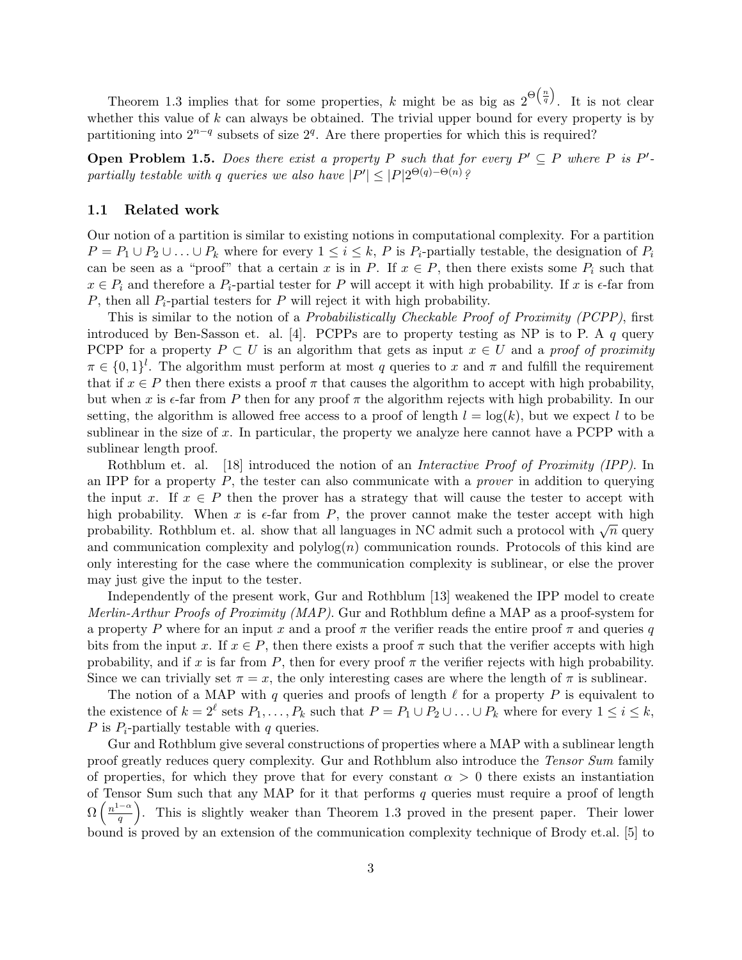Theorem 1.3 implies that for some properties, k might be as big as  $2^{\Theta(\frac{n}{q})}$ . It is not clear whether this value of  $k$  can always be obtained. The trivial upper bound for every property is by partitioning into  $2^{n-q}$  subsets of size  $2^q$ . Are there properties for which this is required?

**Open Problem 1.5.** Does there exist a property P such that for every  $P' \subseteq P$  where P is P'partially testable with q queries we also have  $|P'| \leq |P|2^{\Theta(q)-\Theta(n)}$ ?

#### 1.1 Related work

Our notion of a partition is similar to existing notions in computational complexity. For a partition  $P = P_1 \cup P_2 \cup \ldots \cup P_k$  where for every  $1 \leq i \leq k$ , P is  $P_i$ -partially testable, the designation of  $P_i$ can be seen as a "proof" that a certain x is in P. If  $x \in P$ , then there exists some  $P_i$  such that  $x \in P_i$  and therefore a  $P_i$ -partial tester for P will accept it with high probability. If x is  $\epsilon$ -far from P, then all  $P_i$ -partial testers for P will reject it with high probability.

This is similar to the notion of a *Probabilistically Checkable Proof of Proximity (PCPP)*, first introduced by Ben-Sasson et. al. [4]. PCPPs are to property testing as NP is to P. A  $q$  query PCPP for a property  $P \subset U$  is an algorithm that gets as input  $x \in U$  and a proof of proximity  $\pi \in \{0,1\}^l$ . The algorithm must perform at most q queries to x and  $\pi$  and fulfill the requirement that if  $x \in P$  then there exists a proof  $\pi$  that causes the algorithm to accept with high probability, but when x is  $\epsilon$ -far from P then for any proof  $\pi$  the algorithm rejects with high probability. In our setting, the algorithm is allowed free access to a proof of length  $l = \log(k)$ , but we expect l to be sublinear in the size of  $x$ . In particular, the property we analyze here cannot have a PCPP with a sublinear length proof.

Rothblum et. al. [18] introduced the notion of an *Interactive Proof of Proximity (IPP)*. In an IPP for a property  $P$ , the tester can also communicate with a *prover* in addition to querying the input x. If  $x \in P$  then the prover has a strategy that will cause the tester to accept with high probability. When x is  $\epsilon$ -far from P, the prover cannot make the tester accept with high mgn probability. When x is e-iar from  $\overline{T}$ , the prover cannot make the tester accept with mgn probability. Rothblum et. al. show that all languages in NC admit such a protocol with  $\sqrt{n}$  query and communication complexity and  $\text{polylog}(n)$  communication rounds. Protocols of this kind are only interesting for the case where the communication complexity is sublinear, or else the prover may just give the input to the tester.

Independently of the present work, Gur and Rothblum [13] weakened the IPP model to create Merlin-Arthur Proofs of Proximity (MAP). Gur and Rothblum define a MAP as a proof-system for a property P where for an input x and a proof  $\pi$  the verifier reads the entire proof  $\pi$  and queries q bits from the input x. If  $x \in P$ , then there exists a proof  $\pi$  such that the verifier accepts with high probability, and if x is far from P, then for every proof  $\pi$  the verifier rejects with high probability. Since we can trivially set  $\pi = x$ , the only interesting cases are where the length of  $\pi$  is sublinear.

The notion of a MAP with q queries and proofs of length  $\ell$  for a property P is equivalent to the existence of  $k = 2^{\ell}$  sets  $P_1, \ldots, P_k$  such that  $P = P_1 \cup P_2 \cup \ldots \cup P_k$  where for every  $1 \leq i \leq k$ , P is  $P_i$ -partially testable with q queries.

Gur and Rothblum give several constructions of properties where a MAP with a sublinear length proof greatly reduces query complexity. Gur and Rothblum also introduce the Tensor Sum family of properties, for which they prove that for every constant  $\alpha > 0$  there exists an instantiation of Tensor Sum such that any MAP for it that performs  $q$  queries must require a proof of length  $\Omega\left(\frac{n^{1-\alpha}}{a}\right)$  $\frac{1-\alpha}{q}$ . This is slightly weaker than Theorem 1.3 proved in the present paper. Their lower bound is proved by an extension of the communication complexity technique of Brody et.al. [5] to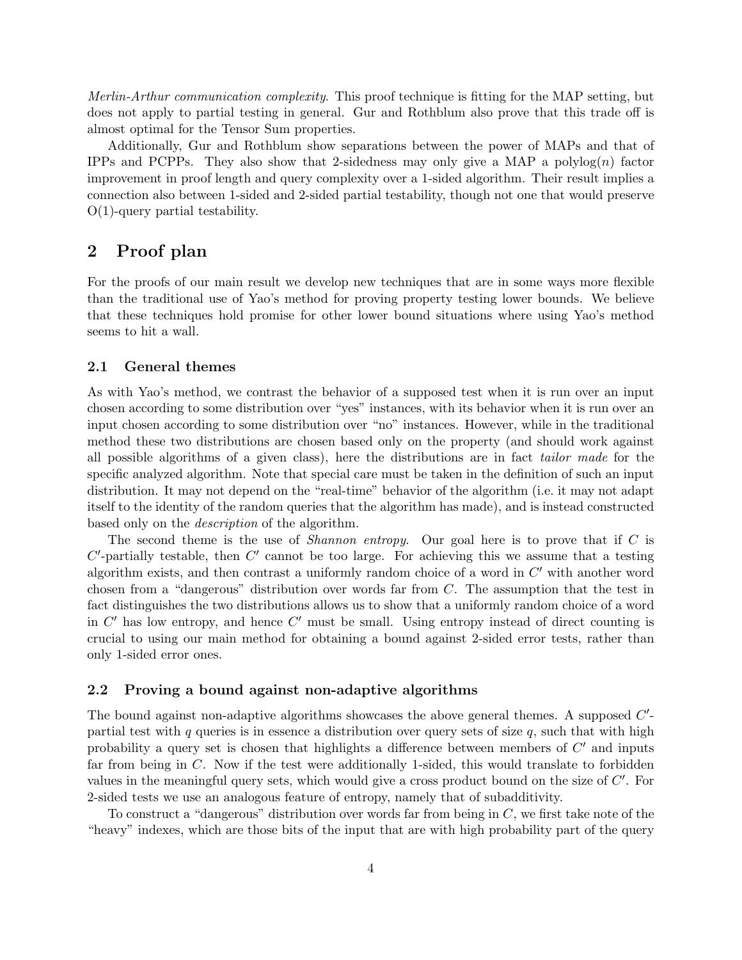Merlin-Arthur communication complexity. This proof technique is fitting for the MAP setting, but does not apply to partial testing in general. Gur and Rothblum also prove that this trade off is almost optimal for the Tensor Sum properties.

Additionally, Gur and Rothblum show separations between the power of MAPs and that of IPPs and PCPPs. They also show that 2-sidedness may only give a MAP a polylog $(n)$  factor improvement in proof length and query complexity over a 1-sided algorithm. Their result implies a connection also between 1-sided and 2-sided partial testability, though not one that would preserve O(1)-query partial testability.

## 2 Proof plan

For the proofs of our main result we develop new techniques that are in some ways more flexible than the traditional use of Yao's method for proving property testing lower bounds. We believe that these techniques hold promise for other lower bound situations where using Yao's method seems to hit a wall.

#### 2.1 General themes

As with Yao's method, we contrast the behavior of a supposed test when it is run over an input chosen according to some distribution over "yes" instances, with its behavior when it is run over an input chosen according to some distribution over "no" instances. However, while in the traditional method these two distributions are chosen based only on the property (and should work against all possible algorithms of a given class), here the distributions are in fact tailor made for the specific analyzed algorithm. Note that special care must be taken in the definition of such an input distribution. It may not depend on the "real-time" behavior of the algorithm (i.e. it may not adapt itself to the identity of the random queries that the algorithm has made), and is instead constructed based only on the description of the algorithm.

The second theme is the use of *Shannon entropy*. Our goal here is to prove that if  $C$  is  $C'$ -partially testable, then  $C'$  cannot be too large. For achieving this we assume that a testing algorithm exists, and then contrast a uniformly random choice of a word in  $C'$  with another word chosen from a "dangerous" distribution over words far from C. The assumption that the test in fact distinguishes the two distributions allows us to show that a uniformly random choice of a word in  $C'$  has low entropy, and hence  $C'$  must be small. Using entropy instead of direct counting is crucial to using our main method for obtaining a bound against 2-sided error tests, rather than only 1-sided error ones.

#### 2.2 Proving a bound against non-adaptive algorithms

The bound against non-adaptive algorithms showcases the above general themes. A supposed  $C'$ partial test with  $q$  queries is in essence a distribution over query sets of size  $q$ , such that with high probability a query set is chosen that highlights a difference between members of  $C'$  and inputs far from being in  $C$ . Now if the test were additionally 1-sided, this would translate to forbidden values in the meaningful query sets, which would give a cross product bound on the size of  $C'$ . For 2-sided tests we use an analogous feature of entropy, namely that of subadditivity.

To construct a "dangerous" distribution over words far from being in C, we first take note of the "heavy" indexes, which are those bits of the input that are with high probability part of the query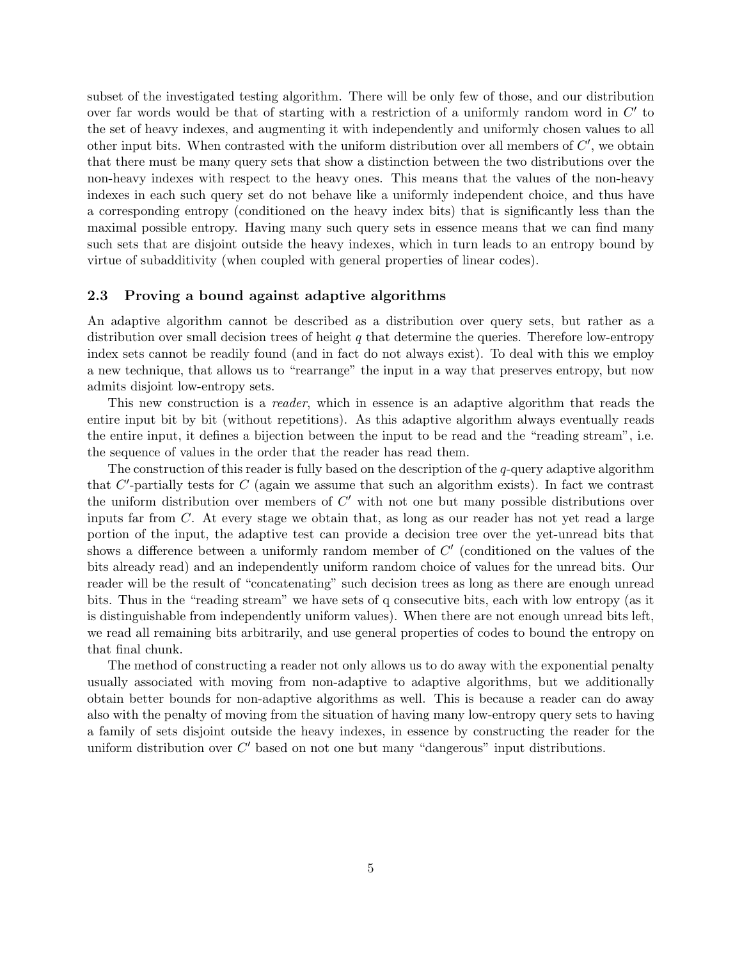subset of the investigated testing algorithm. There will be only few of those, and our distribution over far words would be that of starting with a restriction of a uniformly random word in  $C'$  to the set of heavy indexes, and augmenting it with independently and uniformly chosen values to all other input bits. When contrasted with the uniform distribution over all members of  $C'$ , we obtain that there must be many query sets that show a distinction between the two distributions over the non-heavy indexes with respect to the heavy ones. This means that the values of the non-heavy indexes in each such query set do not behave like a uniformly independent choice, and thus have a corresponding entropy (conditioned on the heavy index bits) that is significantly less than the maximal possible entropy. Having many such query sets in essence means that we can find many such sets that are disjoint outside the heavy indexes, which in turn leads to an entropy bound by virtue of subadditivity (when coupled with general properties of linear codes).

#### 2.3 Proving a bound against adaptive algorithms

An adaptive algorithm cannot be described as a distribution over query sets, but rather as a distribution over small decision trees of height  $q$  that determine the queries. Therefore low-entropy index sets cannot be readily found (and in fact do not always exist). To deal with this we employ a new technique, that allows us to "rearrange" the input in a way that preserves entropy, but now admits disjoint low-entropy sets.

This new construction is a *reader*, which in essence is an adaptive algorithm that reads the entire input bit by bit (without repetitions). As this adaptive algorithm always eventually reads the entire input, it defines a bijection between the input to be read and the "reading stream", i.e. the sequence of values in the order that the reader has read them.

The construction of this reader is fully based on the description of the  $q$ -query adaptive algorithm that  $C'$ -partially tests for  $C$  (again we assume that such an algorithm exists). In fact we contrast the uniform distribution over members of  $C'$  with not one but many possible distributions over inputs far from  $C$ . At every stage we obtain that, as long as our reader has not yet read a large portion of the input, the adaptive test can provide a decision tree over the yet-unread bits that shows a difference between a uniformly random member of  $C'$  (conditioned on the values of the bits already read) and an independently uniform random choice of values for the unread bits. Our reader will be the result of "concatenating" such decision trees as long as there are enough unread bits. Thus in the "reading stream" we have sets of q consecutive bits, each with low entropy (as it is distinguishable from independently uniform values). When there are not enough unread bits left, we read all remaining bits arbitrarily, and use general properties of codes to bound the entropy on that final chunk.

The method of constructing a reader not only allows us to do away with the exponential penalty usually associated with moving from non-adaptive to adaptive algorithms, but we additionally obtain better bounds for non-adaptive algorithms as well. This is because a reader can do away also with the penalty of moving from the situation of having many low-entropy query sets to having a family of sets disjoint outside the heavy indexes, in essence by constructing the reader for the uniform distribution over  $C'$  based on not one but many "dangerous" input distributions.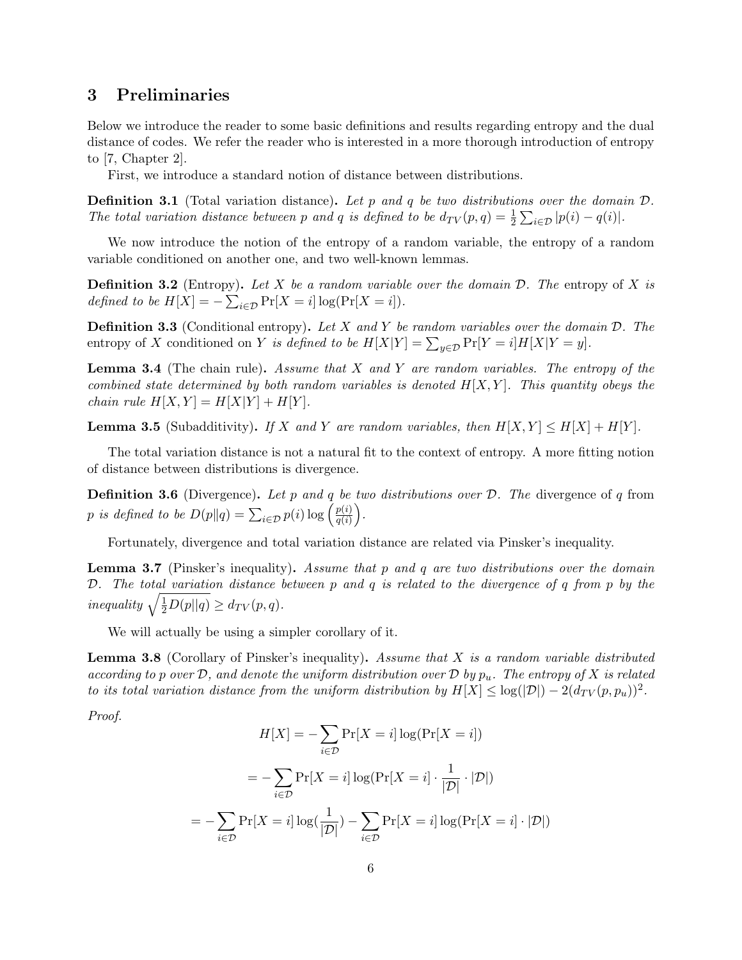## 3 Preliminaries

Below we introduce the reader to some basic definitions and results regarding entropy and the dual distance of codes. We refer the reader who is interested in a more thorough introduction of entropy to [7, Chapter 2].

First, we introduce a standard notion of distance between distributions.

**Definition 3.1** (Total variation distance). Let p and q be two distributions over the domain  $D$ . The total variation distance between p and q is defined to be  $d_{TV}(p,q) = \frac{1}{2} \sum_{i \in \mathcal{D}} |p(i) - q(i)|$ .

We now introduce the notion of the entropy of a random variable, the entropy of a random variable conditioned on another one, and two well-known lemmas.

**Definition 3.2** (Entropy). Let X be a random variable over the domain  $D$ . The entropy of X is defined to be  $H[X] = -\sum_{i \in \mathcal{D}} \Pr[X = i] \log(\Pr[X = i]).$ 

**Definition 3.3** (Conditional entropy). Let X and Y be random variables over the domain  $D$ . The entropy of X conditioned on Y is defined to be  $H[X|Y] = \sum_{y \in \mathcal{D}} Pr[Y = i] H[X|Y = y]$ .

**Lemma 3.4** (The chain rule). Assume that X and Y are random variables. The entropy of the combined state determined by both random variables is denoted  $H[X, Y]$ . This quantity obeys the chain rule  $H[X, Y] = H[X|Y] + H[Y]$ .

**Lemma 3.5** (Subadditivity). If X and Y are random variables, then  $H[X, Y] \leq H[X] + H[Y]$ .

The total variation distance is not a natural fit to the context of entropy. A more fitting notion of distance between distributions is divergence.

**Definition 3.6** (Divergence). Let p and q be two distributions over  $\mathcal{D}$ . The divergence of q from p is defined to be  $D(p||q) = \sum_{i \in \mathcal{D}} p(i) \log \left( \frac{p(i)}{q(i)} \right)$  $\frac{p(i)}{q(i)}\bigg).$ 

Fortunately, divergence and total variation distance are related via Pinsker's inequality.

**Lemma 3.7** (Pinsker's inequality). Assume that p and q are two distributions over the domain D. The total variation distance between p and q is related to the divergence of q from p by the inequality  $\sqrt{\frac{1}{2}D(p||q)} \ge d_{TV}(p,q)$ .

We will actually be using a simpler corollary of it.

**Lemma 3.8** (Corollary of Pinsker's inequality). Assume that  $X$  is a random variable distributed according to p over  $\mathcal{D}$ , and denote the uniform distribution over  $\mathcal{D}$  by  $p_u$ . The entropy of X is related to its total variation distance from the uniform distribution by  $H[X] \leq \log(|\mathcal{D}|) - 2(d_{TV}(p, p_u))^2$ .

Proof.

$$
H[X] = -\sum_{i \in \mathcal{D}} \Pr[X = i] \log(\Pr[X = i])
$$

$$
= -\sum_{i \in \mathcal{D}} \Pr[X = i] \log(\Pr[X = i] \cdot \frac{1}{|\mathcal{D}|} \cdot |\mathcal{D}|)
$$

$$
= -\sum_{i \in \mathcal{D}} \Pr[X = i] \log(\frac{1}{|\mathcal{D}|}) - \sum_{i \in \mathcal{D}} \Pr[X = i] \log(\Pr[X = i] \cdot |\mathcal{D}|)
$$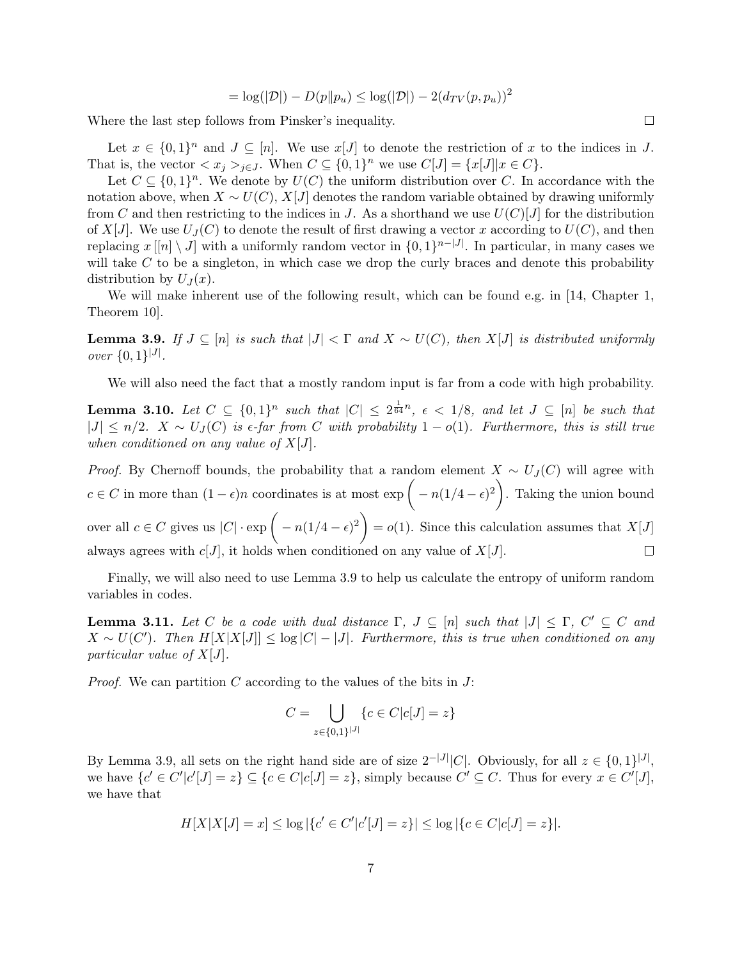$$
= \log(|\mathcal{D}|) - D(p||p_u) \leq \log(|\mathcal{D}|) - 2(d_{TV}(p, p_u))^2
$$

Where the last step follows from Pinsker's inequality.

Let  $x \in \{0,1\}^n$  and  $J \subseteq [n]$ . We use  $x[J]$  to denote the restriction of x to the indices in J. That is, the vector  $\langle x_j \rangle_{j \in J}$ . When  $C \subseteq \{0,1\}^n$  we use  $C[J] = \{x[J] | x \in C\}$ .

Let  $C \subseteq \{0,1\}^n$ . We denote by  $U(C)$  the uniform distribution over C. In accordance with the notation above, when  $X \sim U(C)$ , X[J] denotes the random variable obtained by drawing uniformly from C and then restricting to the indices in J. As a shorthand we use  $U(C)[J]$  for the distribution of X[J]. We use  $U_J(C)$  to denote the result of first drawing a vector x according to  $U(C)$ , and then replacing  $x[[n] \setminus J]$  with a uniformly random vector in  $\{0,1\}^{n-|J|}$ . In particular, in many cases we will take  $C$  to be a singleton, in which case we drop the curly braces and denote this probability distribution by  $U_J(x)$ .

We will make inherent use of the following result, which can be found e.g. in [14, Chapter 1, Theorem 10].

**Lemma 3.9.** If  $J \subseteq [n]$  is such that  $|J| < \Gamma$  and  $X \sim U(C)$ , then  $X[J]$  is distributed uniformly *over*  $\{0,1\}^{|J|}$ .

We will also need the fact that a mostly random input is far from a code with high probability.

**Lemma 3.10.** Let  $C \subseteq \{0,1\}^n$  such that  $|C| \leq 2^{\frac{1}{64}n}$ ,  $\epsilon < 1/8$ , and let  $J \subseteq [n]$  be such that  $|J| \le n/2$ .  $X \sim U_J(C)$  is  $\epsilon$ -far from C with probability  $1 - o(1)$ . Furthermore, this is still true when conditioned on any value of  $X[J]$ .

*Proof.* By Chernoff bounds, the probability that a random element  $X \sim U_J(C)$  will agree with  $c \in C$  in more than  $(1 - \epsilon)n$  coordinates is at most  $\exp\left(-n(1/4 - \epsilon)^2\right)$ . Taking the union bound over all  $c \in C$  gives us  $|C| \cdot \exp \left(-n(1/4 - \epsilon)^2\right) = o(1)$ . Since this calculation assumes that  $X[J]$  $\Box$ always agrees with  $c[J]$ , it holds when conditioned on any value of  $X[J]$ .

Finally, we will also need to use Lemma 3.9 to help us calculate the entropy of uniform random variables in codes.

**Lemma 3.11.** Let C be a code with dual distance  $\Gamma$ ,  $J \subseteq [n]$  such that  $|J| \leq \Gamma$ ,  $C' \subseteq C$  and  $X \sim U(C')$ . Then  $H[X|X|J] \leq \log |C| - |J|$ . Furthermore, this is true when conditioned on any particular value of  $X[J]$ .

*Proof.* We can partition C according to the values of the bits in  $J$ :

$$
C = \bigcup_{z \in \{0,1\}^{|J|}} \{c \in C | c[J] = z\}
$$

By Lemma 3.9, all sets on the right hand side are of size  $2^{-|J|}|C|$ . Obviously, for all  $z \in \{0,1\}^{|J|}$ , we have  $\{c' \in C' | c' | J | = z\} \subseteq \{c \in C | c | J | = z\}$ , simply because  $C' \subseteq C$ . Thus for every  $x \in C' | J |$ , we have that

$$
H[X|X[J] = x] \le \log|\{c' \in C' | c'[J] = z\}| \le \log|\{c \in C | c[J] = z\}|.
$$

 $\Box$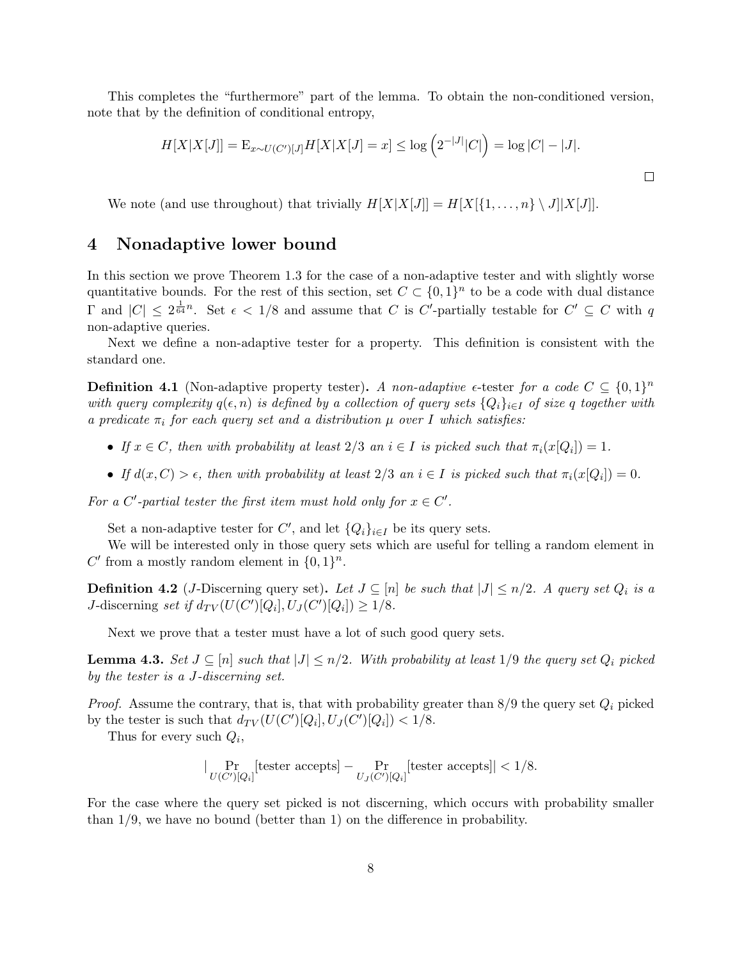This completes the "furthermore" part of the lemma. To obtain the non-conditioned version, note that by the definition of conditional entropy,

$$
H[X|X[J]] = \mathbb{E}_{x \sim U(C')[J]} H[X|X[J] = x] \le \log (2^{-|J|}|C|) = \log |C| - |J|.
$$

We note (and use throughout) that trivially  $H[X|X[J]] = H[X|\{1,\ldots,n\} \setminus J||X[J]]$ .

### 4 Nonadaptive lower bound

In this section we prove Theorem 1.3 for the case of a non-adaptive tester and with slightly worse quantitative bounds. For the rest of this section, set  $C \subset \{0,1\}^n$  to be a code with dual distance  $\Gamma$  and  $|C| \leq 2^{\frac{1}{64}n}$ . Set  $\epsilon < 1/8$  and assume that C is C'-partially testable for  $C' \subseteq C$  with q non-adaptive queries.

Next we define a non-adaptive tester for a property. This definition is consistent with the standard one.

**Definition 4.1** (Non-adaptive property tester). A non-adaptive  $\epsilon$ -tester for a code  $C \subseteq \{0,1\}^n$ with query complexity  $q(\epsilon, n)$  is defined by a collection of query sets  ${Q_i}_{i\in I}$  of size q together with a predicate  $\pi_i$  for each query set and a distribution  $\mu$  over I which satisfies:

- If  $x \in C$ , then with probability at least  $2/3$  an  $i \in I$  is picked such that  $\pi_i(x[Q_i]) = 1$ .
- If  $d(x, C) > \epsilon$ , then with probability at least  $2/3$  an  $i \in I$  is picked such that  $\pi_i(x[Q_i]) = 0$ .

For a C'-partial tester the first item must hold only for  $x \in C'$ .

Set a non-adaptive tester for C', and let  $\{Q_i\}_{i\in I}$  be its query sets.

We will be interested only in those query sets which are useful for telling a random element in C' from a mostly random element in  $\{0,1\}^n$ .

**Definition 4.2** (*J*-Discerning query set). Let  $J \subseteq [n]$  be such that  $|J| \leq n/2$ . A query set  $Q_i$  is a J-discerning set if  $d_{TV}(U(C')[Q_i], U_J(C')[Q_i]) \geq 1/8$ .

Next we prove that a tester must have a lot of such good query sets.

**Lemma 4.3.** Set  $J \subseteq [n]$  such that  $|J| \leq n/2$ . With probability at least 1/9 the query set  $Q_i$  picked by the tester is a J-discerning set.

*Proof.* Assume the contrary, that is, that with probability greater than  $8/9$  the query set  $Q_i$  picked by the tester is such that  $d_{TV}(U(C')[Q_i], U_J(C')[Q_i]) < 1/8$ .

Thus for every such  $Q_i$ ,

$$
\big|\Pr_{U(C')[Q_i]}[\text{tester accepts}] - \Pr_{U_J(C')[Q_i]}[\text{tester accepts}] \big| < 1/8.
$$

For the case where the query set picked is not discerning, which occurs with probability smaller than 1/9, we have no bound (better than 1) on the difference in probability.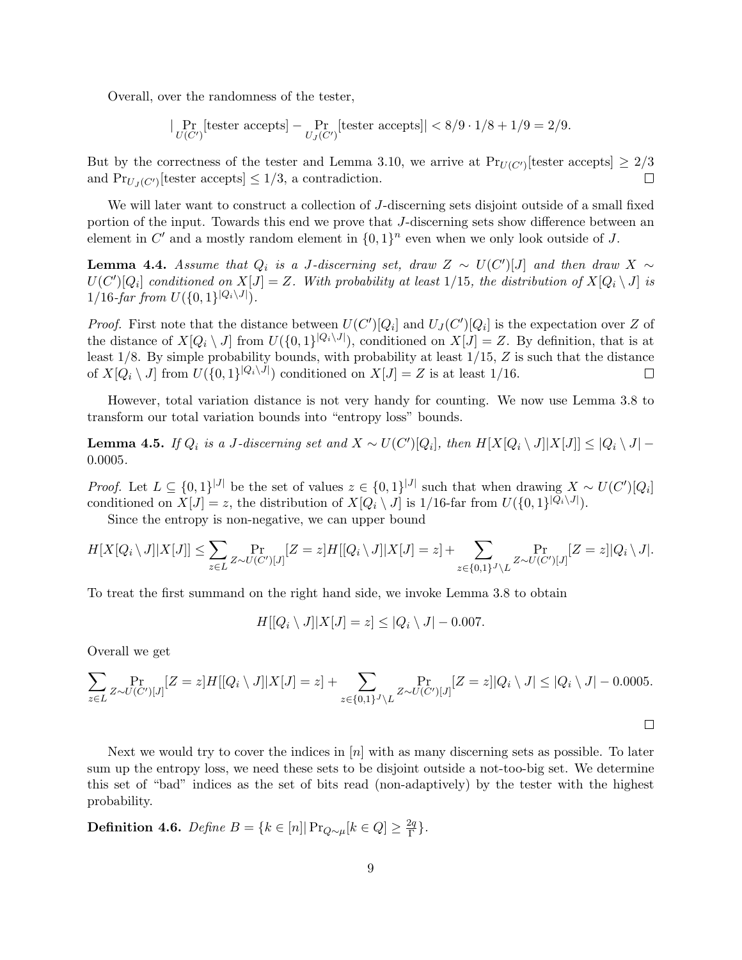Overall, over the randomness of the tester,

$$
|\Pr_{U(C')}[\text{tester accepts}] - \Pr_{U_J(C')}[\text{tester accepts}]| < 8/9 \cdot 1/8 + 1/9 = 2/9.
$$

But by the correctness of the tester and Lemma 3.10, we arrive at  $Pr_{U(C')}$  [tester accepts]  $\geq 2/3$  $\Box$ and  $Pr_{U_J(C')}$ [tester accepts]  $\leq 1/3$ , a contradiction.

We will later want to construct a collection of J-discerning sets disjoint outside of a small fixed portion of the input. Towards this end we prove that J-discerning sets show difference between an element in C' and a mostly random element in  $\{0,1\}^n$  even when we only look outside of J.

**Lemma 4.4.** Assume that  $Q_i$  is a J-discerning set, draw  $Z \sim U(C')[J]$  and then draw  $X \sim$  $U(C')[Q_i]$  conditioned on  $X[J] = Z$ . With probability at least 1/15, the distribution of  $X[Q_i \setminus J]$  is  $1/16$ -far from  $U({0, 1}^{|Q_i \setminus J|}).$ 

*Proof.* First note that the distance between  $U(C')[Q_i]$  and  $U_J(C')[Q_i]$  is the expectation over Z of the distance of  $X[Q_i \setminus J]$  from  $U(\{0,1\}^{|Q_i \setminus J|})$ , conditioned on  $X[J] = Z$ . By definition, that is at least  $1/8$ . By simple probability bounds, with probability at least  $1/15$ , Z is such that the distance of  $X[Q_i \setminus J]$  from  $U(\{0,1\}^{|Q_i \setminus J|})$  conditioned on  $X[J] = Z$  is at least 1/16.  $\Box$ 

However, total variation distance is not very handy for counting. We now use Lemma 3.8 to transform our total variation bounds into "entropy loss" bounds.

**Lemma 4.5.** If  $Q_i$  is a J-discerning set and  $X \sim U(C')[Q_i]$ , then  $H[X[Q_i \setminus J] | X[J]] \leq |Q_i \setminus J|$  – 0.0005.

*Proof.* Let  $L \subseteq \{0,1\}^{|J|}$  be the set of values  $z \in \{0,1\}^{|J|}$  such that when drawing  $X \sim U(C')[Q_i]$ conditioned on  $X[J] = z$ , the distribution of  $X[Q_i \setminus J]$  is  $1/16$ -far from  $U(\{0, 1\}^{|Q_i \setminus J|})$ .

Since the entropy is non-negative, we can upper bound

$$
H[X[Q_i \setminus J] | X[J]] \leq \sum_{z \in L} \Pr_{Z \sim U(C')[J]}[Z = z] H[[Q_i \setminus J] | X[J] = z] + \sum_{z \in \{0,1\}^J \setminus L} \Pr_{Z \sim U(C')[J]}[Z = z] | Q_i \setminus J|.
$$

To treat the first summand on the right hand side, we invoke Lemma 3.8 to obtain

$$
H[[Q_i \setminus J]|X[J] = z] \leq |Q_i \setminus J| - 0.007.
$$

Overall we get

$$
\sum_{z \in L} \Pr_{Z \sim U(C')[J]}[Z = z]H[[Q_i \setminus J]|X[J] = z] + \sum_{z \in \{0,1\}^J \setminus L} \Pr_{Z \sim U(C')[J]}[Z = z]|Q_i \setminus J| \leq |Q_i \setminus J| - 0.0005.
$$

 $\Box$ 

Next we would try to cover the indices in  $[n]$  with as many discerning sets as possible. To later sum up the entropy loss, we need these sets to be disjoint outside a not-too-big set. We determine this set of "bad" indices as the set of bits read (non-adaptively) by the tester with the highest probability.

Definition 4.6. Define  $B = \{k \in [n] | \Pr_{Q \sim \mu}[k \in Q] \geq \frac{2q}{\Gamma}\}$  $\frac{2q}{\Gamma}$ .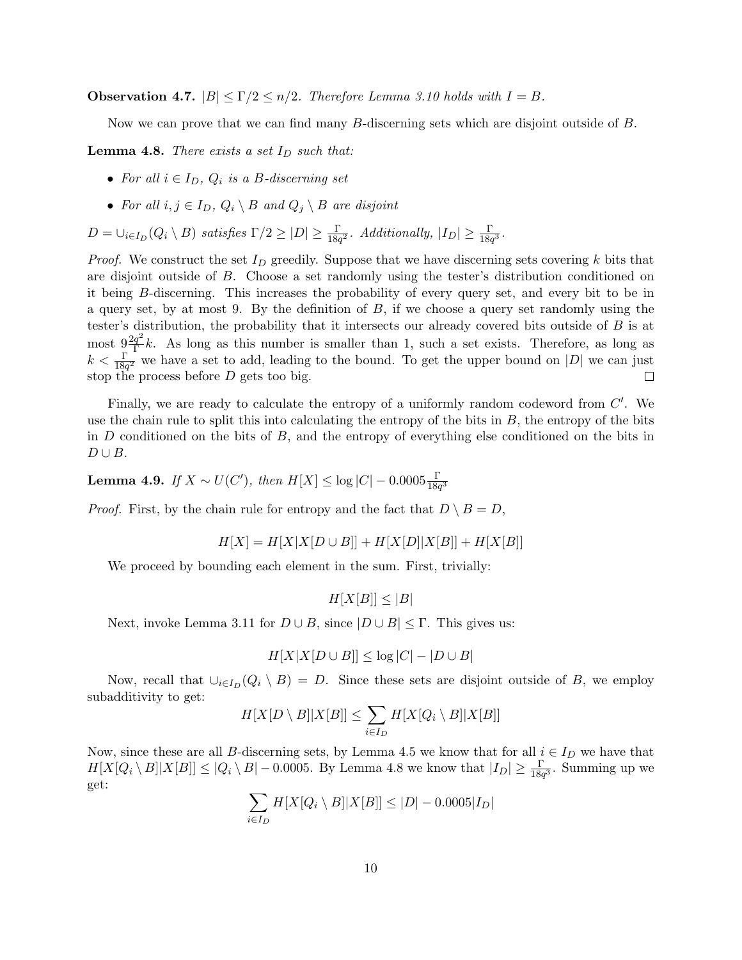**Observation 4.7.**  $|B| \leq \Gamma/2 \leq n/2$ . Therefore Lemma 3.10 holds with  $I = B$ .

Now we can prove that we can find many B-discerning sets which are disjoint outside of B.

**Lemma 4.8.** There exists a set  $I_D$  such that:

- For all  $i \in I_D$ ,  $Q_i$  is a B-discerning set
- For all  $i, j \in I_D$ ,  $Q_i \setminus B$  and  $Q_j \setminus B$  are disjoint

 $D = \bigcup_{i \in I_D}(Q_i \setminus B)$  satisfies  $\Gamma/2 \geq |D| \geq \frac{\Gamma}{18q^2}$ . Additionally,  $|I_D| \geq \frac{\Gamma}{18q^3}$ .

*Proof.* We construct the set  $I_D$  greedily. Suppose that we have discerning sets covering k bits that are disjoint outside of B. Choose a set randomly using the tester's distribution conditioned on it being B-discerning. This increases the probability of every query set, and every bit to be in a query set, by at most 9. By the definition of  $B$ , if we choose a query set randomly using the tester's distribution, the probability that it intersects our already covered bits outside of B is at most  $9\frac{2q^2}{\Gamma}$  $\frac{q^2}{\Gamma}k$ . As long as this number is smaller than 1, such a set exists. Therefore, as long as  $k < \frac{\Gamma}{18q^2}$  we have a set to add, leading to the bound. To get the upper bound on |D| we can just stop the process before D gets too big.  $\Box$ 

Finally, we are ready to calculate the entropy of a uniformly random codeword from  $C'$ . We use the chain rule to split this into calculating the entropy of the bits in  $B$ , the entropy of the bits in  $D$  conditioned on the bits of  $B$ , and the entropy of everything else conditioned on the bits in  $D \cup B$ .

Lemma 4.9. If  $X \sim U(C'),$  then  $H[X] \leq \log |C| - 0.0005 \frac{\Gamma}{18q^3}$ 

*Proof.* First, by the chain rule for entropy and the fact that  $D \setminus B = D$ ,

$$
H[X] = H[X|X|D \cup B]| + H[X|D||X|B]| + H[X|B]|
$$

We proceed by bounding each element in the sum. First, trivially:

 $H[X|B] \leq |B|$ 

Next, invoke Lemma 3.11 for  $D \cup B$ , since  $|D \cup B| \leq \Gamma$ . This gives us:

$$
H[X|X[D \cup B]] \le \log|C| - |D \cup B|
$$

Now, recall that  $\bigcup_{i\in I_D}(Q_i \setminus B) = D$ . Since these sets are disjoint outside of B, we employ subadditivity to get:

$$
H[X[D \setminus B]|X[B]] \le \sum_{i \in I_D} H[X[Q_i \setminus B]|X[B]]
$$

Now, since these are all B-discerning sets, by Lemma 4.5 we know that for all  $i \in I_D$  we have that  $H[X[Q_i \setminus B]|X[B]] \leq |Q_i \setminus B| - 0.0005$ . By Lemma 4.8 we know that  $|I_D| \geq \frac{\Gamma}{18q^3}$ . Summing up we get:

$$
\sum_{i \in I_D} H[X[Q_i \setminus B]|X[B]] \le |D| - 0.0005|I_D|
$$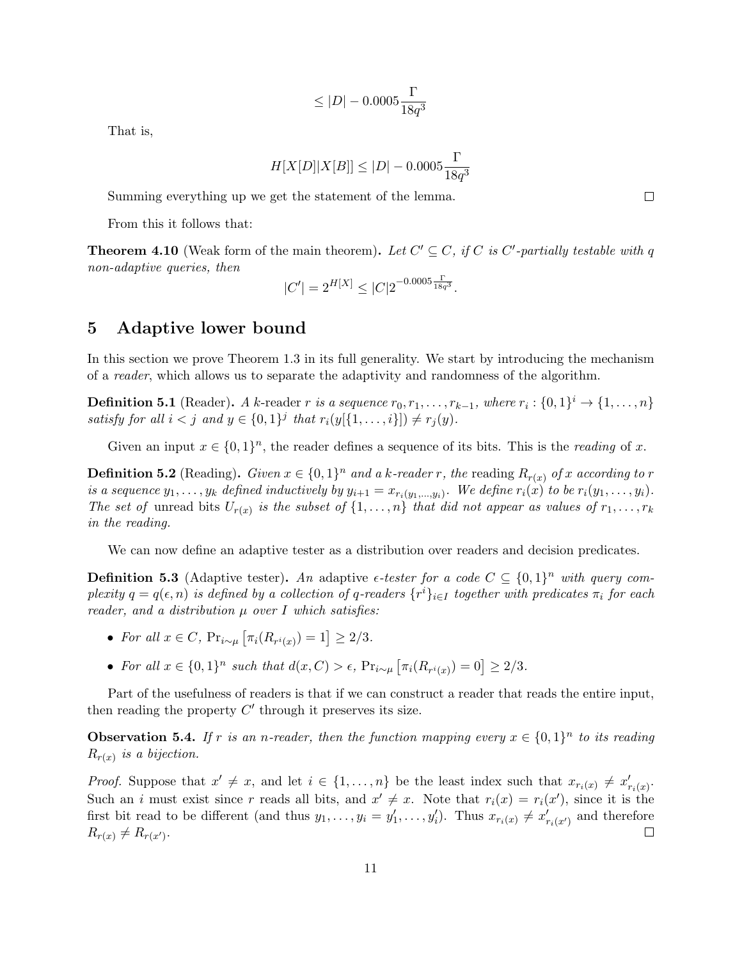$$
\leq |D|-0.0005\frac{\Gamma}{18q^3}
$$

That is,

$$
H[X[D]|X[B]] \le |D| - 0.0005 \frac{\Gamma}{18q^3}
$$

Summing everything up we get the statement of the lemma.

From this it follows that:

**Theorem 4.10** (Weak form of the main theorem). Let  $C' \subseteq C$ , if C is C'-partially testable with q non-adaptive queries, then

$$
|C'| = 2^{H[X]} \le |C| 2^{-0.0005 \frac{\Gamma}{18q^3}}.
$$

## 5 Adaptive lower bound

In this section we prove Theorem 1.3 in its full generality. We start by introducing the mechanism of a reader, which allows us to separate the adaptivity and randomness of the algorithm.

**Definition 5.1** (Reader). A k-reader r is a sequence  $r_0, r_1, \ldots, r_{k-1}$ , where  $r_i : \{0,1\}^i \rightarrow \{1,\ldots,n\}$ satisfy for all  $i < j$  and  $y \in \{0,1\}^j$  that  $r_i(y[\{1,\ldots,i\}]) \neq r_j(y)$ .

Given an input  $x \in \{0,1\}^n$ , the reader defines a sequence of its bits. This is the *reading* of x.

**Definition 5.2** (Reading). Given  $x \in \{0,1\}^n$  and a k-reader r, the reading  $R_{r(x)}$  of x according to r is a sequence  $y_1, \ldots, y_k$  defined inductively by  $y_{i+1} = x_{r_i(y_1,\ldots,y_i)}$ . We define  $r_i(x)$  to be  $r_i(y_1, \ldots, y_i)$ . The set of unread bits  $U_{r(x)}$  is the subset of  $\{1,\ldots,n\}$  that did not appear as values of  $r_1,\ldots,r_k$ in the reading.

We can now define an adaptive tester as a distribution over readers and decision predicates.

**Definition 5.3** (Adaptive tester). An adaptive  $\epsilon$ -tester for a code  $C \subseteq \{0,1\}^n$  with query complexity  $q = q(\epsilon, n)$  is defined by a collection of q-readers  $\{r^i\}_{i\in I}$  together with predicates  $\pi_i$  for each reader, and a distribution  $\mu$  over I which satisfies:

- For all  $x \in C$ ,  $Pr_{i \sim \mu} [\pi_i(R_{r^i(x)}) = 1] \geq 2/3$ .
- For all  $x \in \{0,1\}^n$  such that  $d(x, C) > \epsilon$ ,  $Pr_{i \sim \mu} [\pi_i(R_{r^i(x)}) = 0] \geq 2/3$ .

Part of the usefulness of readers is that if we can construct a reader that reads the entire input, then reading the property  $C'$  through it preserves its size.

**Observation 5.4.** If r is an n-reader, then the function mapping every  $x \in \{0,1\}^n$  to its reading  $R_{r(x)}$  is a bijection.

*Proof.* Suppose that  $x' \neq x$ , and let  $i \in \{1, ..., n\}$  be the least index such that  $x_{r_i(x)} \neq x'_{r_i(x)}$ . Such an i must exist since r reads all bits, and  $x' \neq x$ . Note that  $r_i(x) = r_i(x')$ , since it is the first bit read to be different (and thus  $y_1, \ldots, y_i = y'_1, \ldots, y'_i$ ). Thus  $x_{r_i(x)} \neq x'_{r_i(x')}$  and therefore  $R_{r(x)} \neq R_{r(x')}$ .  $\Box$ 

 $\Box$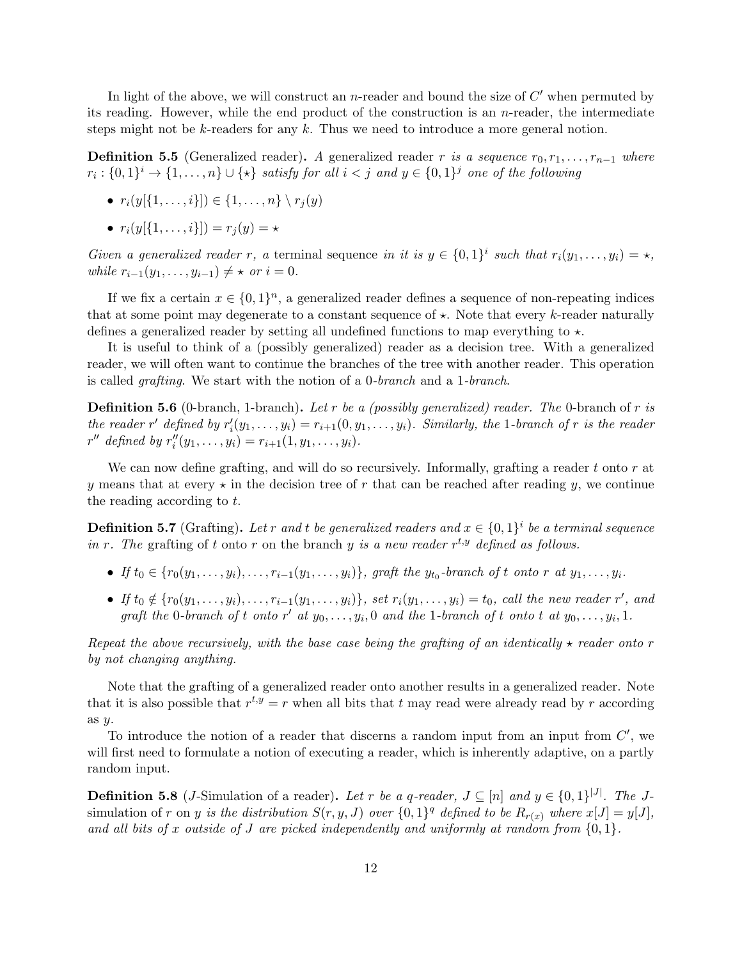In light of the above, we will construct an n-reader and bound the size of  $C'$  when permuted by its reading. However, while the end product of the construction is an n-reader, the intermediate steps might not be  $k$ -readers for any  $k$ . Thus we need to introduce a more general notion.

**Definition 5.5** (Generalized reader). A generalized reader r is a sequence  $r_0, r_1, \ldots, r_{n-1}$  where  $r_i: \{0,1\}^i \to \{1,\ldots,n\} \cup \{\star\}$  satisfy for all  $i < j$  and  $y \in \{0,1\}^j$  one of the following

- $r_i(y[\{1, \ldots, i\}]) \in \{1, \ldots, n\} \setminus r_i(y)$
- $r_i(y[\{1, \ldots, i\}]) = r_i(y) = \star$

Given a generalized reader r, a terminal sequence in it is  $y \in \{0,1\}^i$  such that  $r_i(y_1,\ldots,y_i) = \star$ , *while*  $r_{i-1}(y_1, \ldots, y_{i-1}) \neq \star \text{ or } i = 0.$ 

If we fix a certain  $x \in \{0,1\}^n$ , a generalized reader defines a sequence of non-repeating indices that at some point may degenerate to a constant sequence of  $\star$ . Note that every k-reader naturally defines a generalized reader by setting all undefined functions to map everything to  $\star$ .

It is useful to think of a (possibly generalized) reader as a decision tree. With a generalized reader, we will often want to continue the branches of the tree with another reader. This operation is called grafting. We start with the notion of a 0-branch and a 1-branch.

**Definition 5.6** (0-branch, 1-branch). Let r be a (possibly generalized) reader. The 0-branch of r is the reader r' defined by  $r'_i(y_1,\ldots,y_i)=r_{i+1}(0,y_1,\ldots,y_i)$ . Similarly, the 1-branch of r is the reader  $r''$  defined by  $r''_i(y_1, \ldots, y_i) = r_{i+1}(1, y_1, \ldots, y_i).$ 

We can now define grafting, and will do so recursively. Informally, grafting a reader t onto  $r$  at y means that at every  $\star$  in the decision tree of r that can be reached after reading y, we continue the reading according to t.

**Definition 5.7** (Grafting). Let r and t be generalized readers and  $x \in \{0,1\}^i$  be a terminal sequence in r. The grafting of t onto r on the branch y is a new reader  $r^{t,y}$  defined as follows.

- If  $t_0 \in \{r_0(y_1,\ldots,y_i),\ldots,r_{i-1}(y_1,\ldots,y_i)\},$  graft the  $y_{t_0}$ -branch of t onto r at  $y_1,\ldots,y_i$ .
- If  $t_0 \notin \{r_0(y_1,\ldots,y_i),\ldots,r_{i-1}(y_1,\ldots,y_i)\},\$  set  $r_i(y_1,\ldots,y_i)=t_0,\$  call the new reader r', and graft the 0-branch of t onto r' at  $y_0, \ldots, y_i, 0$  and the 1-branch of t onto t at  $y_0, \ldots, y_i, 1$ .

Repeat the above recursively, with the base case being the grafting of an identically  $\star$  reader onto r by not changing anything.

Note that the grafting of a generalized reader onto another results in a generalized reader. Note that it is also possible that  $r^{t,y} = r$  when all bits that t may read were already read by r according as y.

To introduce the notion of a reader that discerns a random input from an input from  $C'$ , we will first need to formulate a notion of executing a reader, which is inherently adaptive, on a partly random input.

**Definition 5.8** (*J*-Simulation of a reader). Let r be a q-reader,  $J \subseteq [n]$  and  $y \in \{0,1\}^{|J|}$ . The *J*simulation of r on y is the distribution  $S(r, y, J)$  over  $\{0, 1\}^q$  defined to be  $R_{r(x)}$  where  $x[J] = y[J]$ , and all bits of x outside of J are picked independently and uniformly at random from  $\{0,1\}$ .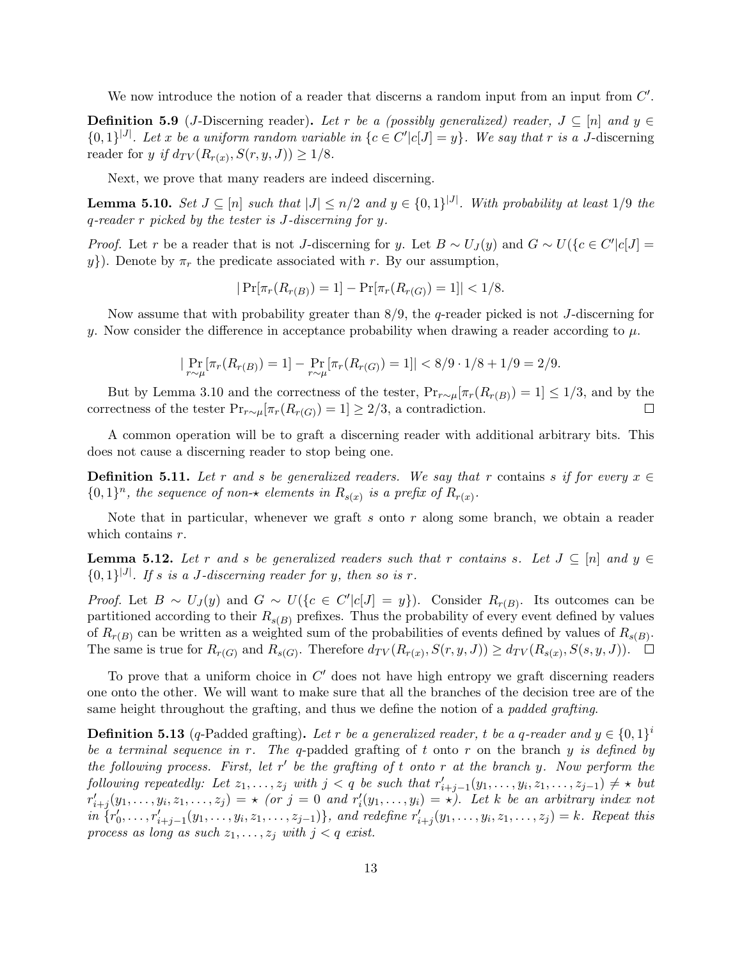We now introduce the notion of a reader that discerns a random input from an input from  $C'$ .

**Definition 5.9** (*J*-Discerning reader). Let r be a (possibly generalized) reader,  $J \subseteq [n]$  and  $y \in$  $\{0,1\}^{|J|}$ . Let x be a uniform random variable in  $\{c \in C'|c[J] = y\}$ . We say that r is a J-discerning reader for y if  $d_{TV}(R_{r(x)}, S(r, y, J)) \geq 1/8$ .

Next, we prove that many readers are indeed discerning.

**Lemma 5.10.** Set  $J \subseteq [n]$  such that  $|J| \le n/2$  and  $y \in \{0,1\}^{|J|}$ . With probability at least 1/9 the q-reader r picked by the tester is J-discerning for y.

*Proof.* Let r be a reader that is not J-discerning for y. Let  $B \sim U_J(y)$  and  $G \sim U({c \in C'|c[J]}$ y}). Denote by  $\pi_r$  the predicate associated with r. By our assumption,

$$
|\Pr[\pi_r(R_{r(B)})=1]-\Pr[\pi_r(R_{r(G)})=1]|<1/8.
$$

Now assume that with probability greater than 8/9, the q-reader picked is not J-discerning for y. Now consider the difference in acceptance probability when drawing a reader according to  $\mu$ .

$$
|\Pr_{r \sim \mu}[\pi_r(R_{r(B)}) = 1] - \Pr_{r \sim \mu}[\pi_r(R_{r(G)}) = 1]| < 8/9 \cdot 1/8 + 1/9 = 2/9.
$$

But by Lemma 3.10 and the correctness of the tester,  $Pr_{r \sim \mu}[\pi_r(R_{r(B)}) = 1] \leq 1/3$ , and by the correctness of the tester  $Pr_{r \sim \mu}[\pi_r(R_{r(G)}) = 1] \geq 2/3$ , a contradiction.  $\Box$ 

A common operation will be to graft a discerning reader with additional arbitrary bits. This does not cause a discerning reader to stop being one.

**Definition 5.11.** Let r and s be generalized readers. We say that r contains s if for every  $x \in$  $\{0,1\}^n$ , the sequence of non- $\star$  elements in  $R_{s(x)}$  is a prefix of  $R_{r(x)}$ .

Note that in particular, whenever we graft s onto r along some branch, we obtain a reader which contains  $r$ .

**Lemma 5.12.** Let r and s be generalized readers such that r contains s. Let  $J \subseteq [n]$  and  $y \in$  ${0,1}^{|J|}$ . If s is a J-discerning reader for y, then so is r.

*Proof.* Let  $B \sim U_J(y)$  and  $G \sim U({c \in C'|c[J] = y})$ . Consider  $R_{r(B)}$ . Its outcomes can be partitioned according to their  $R_{s(B)}$  prefixes. Thus the probability of every event defined by values of  $R_{r(B)}$  can be written as a weighted sum of the probabilities of events defined by values of  $R_{s(B)}$ . The same is true for  $R_{r(G)}$  and  $R_{s(G)}$ . Therefore  $d_{TV}(R_{r(x)}, S(r, y, J)) \ge d_{TV}(R_{s(x)}, S(s, y, J))$ .

To prove that a uniform choice in  $C'$  does not have high entropy we graft discerning readers one onto the other. We will want to make sure that all the branches of the decision tree are of the same height throughout the grafting, and thus we define the notion of a padded grafting.

**Definition 5.13** (q-Padded grafting). Let r be a generalized reader, t be a q-reader and  $y \in \{0,1\}^i$ be a terminal sequence in r. The q-padded grafting of t onto r on the branch y is defined by the following process. First, let  $r'$  be the grafting of t onto r at the branch y. Now perform the  $\text{following repeatedly: Let } z_1, \ldots, z_j \text{ with } j < q \text{ be such that } r'_{i+j-1}(y_1, \ldots, y_i, z_1, \ldots, z_{j-1}) \neq \star \text{ but }$  $r'_{i+j}(y_1,\ldots,y_i,z_1,\ldots,z_j) = \star$  (or  $j=0$  and  $r'_i(y_1,\ldots,y_i) = \star$ ). Let k be an arbitrary index not  $\{r'_0, \ldots, r'_{i+j-1}(y_1, \ldots, y_i, z_1, \ldots, z_{j-1})\},$  and redefine  $r'_{i+j}(y_1, \ldots, y_i, z_1, \ldots, z_j) = k$ . Repeat this process as long as such  $z_1, \ldots, z_j$  with  $j < q$  exist.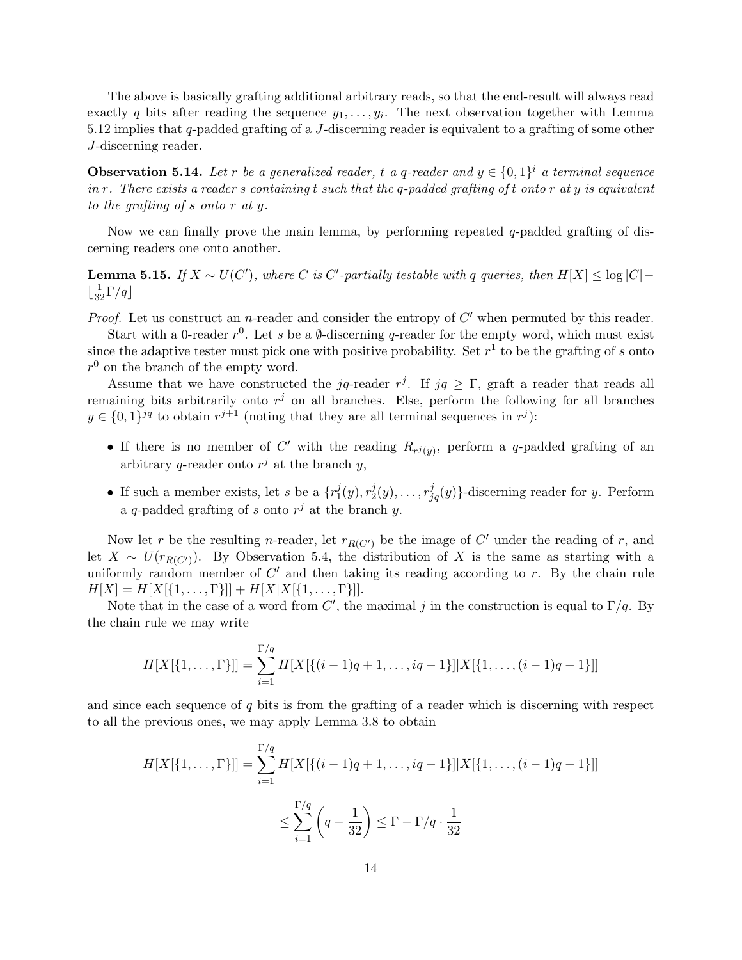The above is basically grafting additional arbitrary reads, so that the end-result will always read exactly q bits after reading the sequence  $y_1, \ldots, y_i$ . The next observation together with Lemma 5.12 implies that q-padded grafting of a J-discerning reader is equivalent to a grafting of some other J-discerning reader.

**Observation 5.14.** Let r be a generalized reader, t a q-reader and  $y \in \{0,1\}^i$  a terminal sequence in r. There exists a reader s containing t such that the q-padded grafting of t onto r at  $y$  is equivalent to the grafting of s onto r at y.

Now we can finally prove the main lemma, by performing repeated  $q$ -padded grafting of discerning readers one onto another.

**Lemma 5.15.** If  $X \sim U(C')$ , where C is C'-partially testable with q queries, then  $H[X] \leq \log |C|$  –  $\lfloor\frac{1}{32}\Gamma/q\rfloor$ 

*Proof.* Let us construct an *n*-reader and consider the entropy of  $C'$  when permuted by this reader.

Start with a 0-reader  $r^0$ . Let s be a  $\emptyset$ -discerning q-reader for the empty word, which must exist since the adaptive tester must pick one with positive probability. Set  $r<sup>1</sup>$  to be the grafting of s onto  $r^{0}$  on the branch of the empty word.

Assume that we have constructed the jq-reader  $r^j$ . If jq  $\geq \Gamma$ , graft a reader that reads all remaining bits arbitrarily onto  $r^j$  on all branches. Else, perform the following for all branches  $y \in \{0,1\}^{jq}$  to obtain  $r^{j+1}$  (noting that they are all terminal sequences in  $r^j$ ):

- If there is no member of C' with the reading  $R_{r^j(y)}$ , perform a q-padded grafting of an arbitrary q-reader onto  $r^j$  at the branch y,
- If such a member exists, let s be a  $\{r_1^j\}$  $j_1^j(y), r_2^j$  $\{z_2^j(y), \ldots, r_{jq}^j(y)\}$ -discerning reader for y. Perform a q-padded grafting of s onto  $r^j$  at the branch y.

Now let r be the resulting n-reader, let  $r_{R(C')}$  be the image of C' under the reading of r, and let  $X \sim U(r_{R(C)})$ . By Observation 5.4, the distribution of X is the same as starting with a uniformly random member of  $C'$  and then taking its reading according to r. By the chain rule  $H[X] = H[X[\{1,\ldots,\Gamma\}]] + H[X|X[\{1,\ldots,\Gamma\}]].$ 

Note that in the case of a word from C', the maximal j in the construction is equal to  $\Gamma/q$ . By the chain rule we may write

$$
H[X[\{1,\ldots,\Gamma\}]] = \sum_{i=1}^{\Gamma/q} H[X[\{(i-1)q+1,\ldots,iq-1\}]|X[\{1,\ldots,(i-1)q-1\}]]
$$

and since each sequence of  $q$  bits is from the grafting of a reader which is discerning with respect to all the previous ones, we may apply Lemma 3.8 to obtain

$$
H[X[\{1,\ldots,\Gamma\}]] = \sum_{i=1}^{\Gamma/q} H[X[\{(i-1)q+1,\ldots,iq-1\}]|X[\{1,\ldots,(i-1)q-1\}]]
$$
  

$$
\leq \sum_{i=1}^{\Gamma/q} \left(q - \frac{1}{32}\right) \leq \Gamma - \Gamma/q \cdot \frac{1}{32}
$$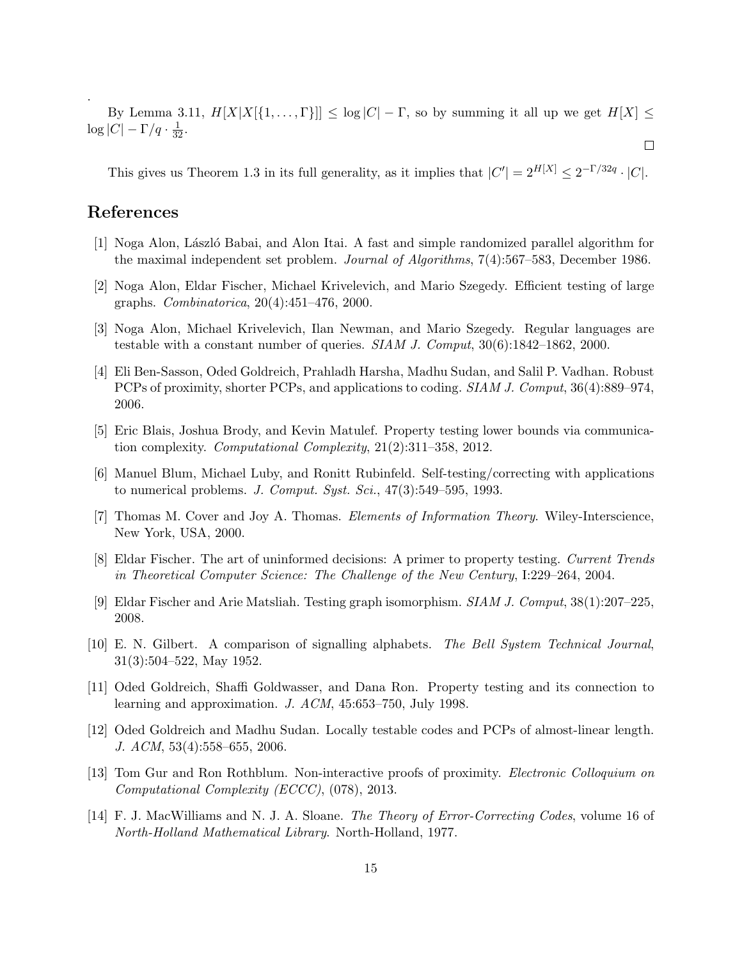By Lemma 3.11,  $H[X|X[\{1,\ldots,\Gamma\}]] \leq \log|C| - \Gamma$ , so by summing it all up we get  $H[X] \leq$  $\log|C| - \Gamma/q \cdot \frac{1}{32}.$ 

This gives us Theorem 1.3 in its full generality, as it implies that  $|C'| = 2^{H[X]} \leq 2^{-\Gamma/32q} \cdot |C|$ .

 $\Box$ 

## References

.

- [1] Noga Alon, L´aszl´o Babai, and Alon Itai. A fast and simple randomized parallel algorithm for the maximal independent set problem. Journal of Algorithms, 7(4):567–583, December 1986.
- [2] Noga Alon, Eldar Fischer, Michael Krivelevich, and Mario Szegedy. Efficient testing of large graphs. Combinatorica, 20(4):451–476, 2000.
- [3] Noga Alon, Michael Krivelevich, Ilan Newman, and Mario Szegedy. Regular languages are testable with a constant number of queries.  $SIAM J. Comput$ ,  $30(6):1842-1862$ ,  $2000$ .
- [4] Eli Ben-Sasson, Oded Goldreich, Prahladh Harsha, Madhu Sudan, and Salil P. Vadhan. Robust PCPs of proximity, shorter PCPs, and applications to coding. SIAM J. Comput, 36(4):889–974, 2006.
- [5] Eric Blais, Joshua Brody, and Kevin Matulef. Property testing lower bounds via communication complexity. Computational Complexity, 21(2):311–358, 2012.
- [6] Manuel Blum, Michael Luby, and Ronitt Rubinfeld. Self-testing/correcting with applications to numerical problems. J. Comput. Syst. Sci.,  $47(3):549-595$ , 1993.
- [7] Thomas M. Cover and Joy A. Thomas. Elements of Information Theory. Wiley-Interscience, New York, USA, 2000.
- [8] Eldar Fischer. The art of uninformed decisions: A primer to property testing. Current Trends in Theoretical Computer Science: The Challenge of the New Century, I:229–264, 2004.
- [9] Eldar Fischer and Arie Matsliah. Testing graph isomorphism. SIAM J. Comput, 38(1):207–225, 2008.
- [10] E. N. Gilbert. A comparison of signalling alphabets. The Bell System Technical Journal, 31(3):504–522, May 1952.
- [11] Oded Goldreich, Shaffi Goldwasser, and Dana Ron. Property testing and its connection to learning and approximation. J. ACM, 45:653–750, July 1998.
- [12] Oded Goldreich and Madhu Sudan. Locally testable codes and PCPs of almost-linear length. J. ACM, 53(4):558–655, 2006.
- [13] Tom Gur and Ron Rothblum. Non-interactive proofs of proximity. Electronic Colloquium on Computational Complexity (ECCC), (078), 2013.
- [14] F. J. MacWilliams and N. J. A. Sloane. The Theory of Error-Correcting Codes, volume 16 of North-Holland Mathematical Library. North-Holland, 1977.